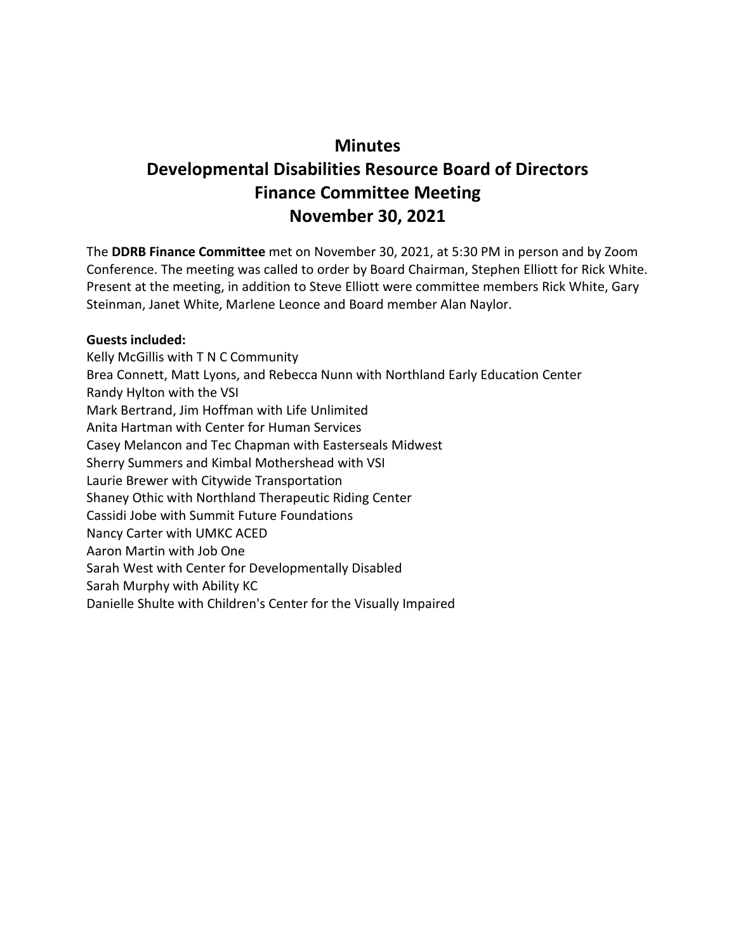# **Minutes Developmental Disabilities Resource Board of Directors Finance Committee Meeting November 30, 2021**

The **DDRB Finance Committee** met on November 30, 2021, at 5:30 PM in person and by Zoom Conference. The meeting was called to order by Board Chairman, Stephen Elliott for Rick White. Present at the meeting, in addition to Steve Elliott were committee members Rick White, Gary Steinman, Janet White, Marlene Leonce and Board member Alan Naylor.

#### **Guests included:**

Kelly McGillis with T N C Community Brea Connett, Matt Lyons, and Rebecca Nunn with Northland Early Education Center Randy Hylton with the VSI Mark Bertrand, Jim Hoffman with Life Unlimited Anita Hartman with Center for Human Services Casey Melancon and Tec Chapman with Easterseals Midwest Sherry Summers and Kimbal Mothershead with VSI Laurie Brewer with Citywide Transportation Shaney Othic with Northland Therapeutic Riding Center Cassidi Jobe with Summit Future Foundations Nancy Carter with UMKC ACED Aaron Martin with Job One Sarah West with Center for Developmentally Disabled Sarah Murphy with Ability KC Danielle Shulte with Children's Center for the Visually Impaired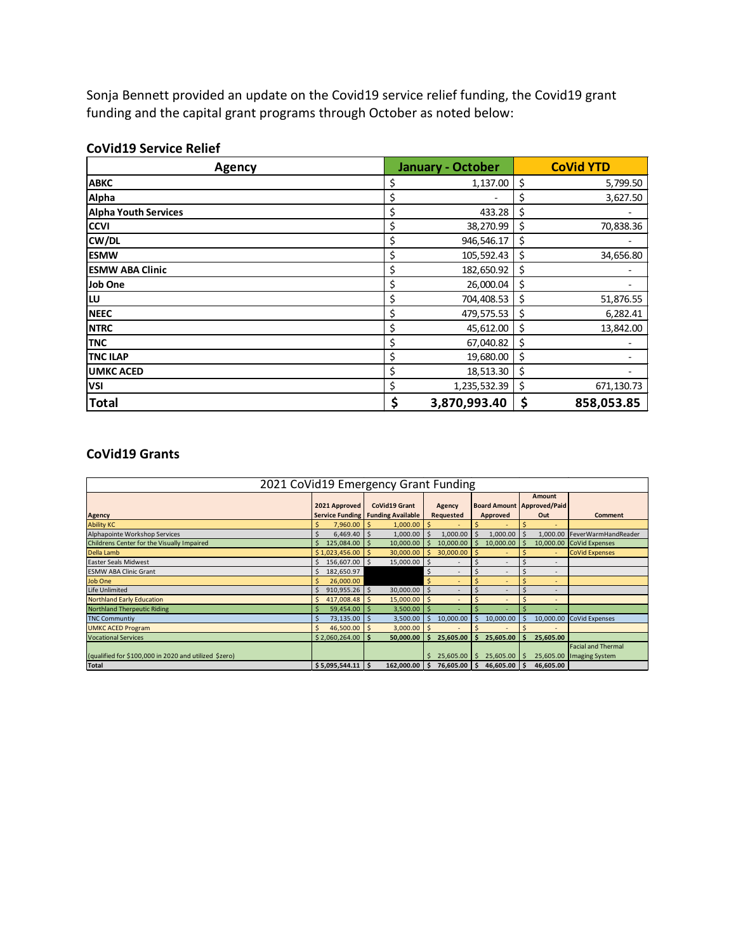Sonja Bennett provided an update on the Covid19 service relief funding, the Covid19 grant funding and the capital grant programs through October as noted below:

| <b>Agency</b>               | <b>January - October</b> | <b>CoVid YTD</b> |
|-----------------------------|--------------------------|------------------|
| <b>ABKC</b>                 | 1,137.00<br>\$           | \$<br>5,799.50   |
| Alpha                       | \$<br>۰                  | \$<br>3,627.50   |
| <b>Alpha Youth Services</b> | \$<br>433.28             | \$               |
| <b>CCVI</b>                 | \$<br>38,270.99          | \$<br>70,838.36  |
| CW/DL                       | \$<br>946,546.17         | \$               |
| <b>ESMW</b>                 | \$<br>105,592.43         | \$<br>34,656.80  |
| <b>ESMW ABA Clinic</b>      | \$<br>182,650.92         | \$               |
| Job One                     | \$<br>26,000.04          | \$               |
| lω                          | \$<br>704,408.53         | \$<br>51,876.55  |
| <b>NEEC</b>                 | \$<br>479,575.53         | \$<br>6,282.41   |
| <b>NTRC</b>                 | \$<br>45,612.00          | \$<br>13,842.00  |
| <b>TNC</b>                  | \$<br>67,040.82          | \$               |
| <b>TNC ILAP</b>             | \$<br>19,680.00          | \$               |
| <b>UMKC ACED</b>            | \$<br>18,513.30          | \$               |
| <b>VSI</b>                  | \$<br>1,235,532.39       | \$<br>671,130.73 |
| <b>Total</b>                | \$<br>3,870,993.40       | \$<br>858,053.85 |

#### **CoVid19 Service Relief**

#### **CoVid19 Grants**

| 2021 CoVid19 Emergency Grant Funding                  |                      |                                     |                               |                          |                                     |                                |  |  |  |  |
|-------------------------------------------------------|----------------------|-------------------------------------|-------------------------------|--------------------------|-------------------------------------|--------------------------------|--|--|--|--|
|                                                       |                      |                                     |                               |                          | Amount                              |                                |  |  |  |  |
|                                                       | 2021 Approved        | <b>CoVid19 Grant</b>                | Agency                        |                          | <b>Board Amount   Approved/Paid</b> |                                |  |  |  |  |
| <b>Agency</b>                                         |                      | Service Funding   Funding Available | Requested                     | Approved                 | Out                                 | <b>Comment</b>                 |  |  |  |  |
| <b>Ability KC</b>                                     | 7,960.00             | 1,000.00                            |                               | ۰                        | ٠                                   |                                |  |  |  |  |
| Alphapointe Workshop Services                         | S<br>$6,469.40$ \ \$ | 1,000.00                            | 1,000.00                      | 1,000.00                 |                                     | 1,000.00   FeverWarmHandReader |  |  |  |  |
| Childrens Center for the Visually Impaired            | 125,084.00           | 10,000.00                           | 10,000.00                     | 10,000.00                |                                     | 10,000.00 CoVid Expenses       |  |  |  |  |
| Della Lamb                                            | \$1,023,456.00       | 30,000.00                           | 30,000.00                     |                          | ٠                                   | <b>CoVid Expenses</b>          |  |  |  |  |
| Easter Seals Midwest                                  | 156,607.00 \$        | 15,000.00                           |                               | ۰                        | ٠                                   |                                |  |  |  |  |
| <b>ESMW ABA Clinic Grant</b>                          | 182,650.97           |                                     | \$.                           | $\overline{\phantom{a}}$ |                                     |                                |  |  |  |  |
| Job One                                               | 26,000.00            |                                     | Ś<br>$\overline{\phantom{a}}$ | ÷                        | ۰                                   |                                |  |  |  |  |
| Life Unlimited                                        | $910,955.26$ \$      | 30,000.00                           | Ś<br>$\overline{\phantom{a}}$ | $\overline{\phantom{a}}$ | ۰                                   |                                |  |  |  |  |
| <b>Northland Early Education</b>                      | 417,008.48           | 15,000.00                           |                               | $\overline{a}$           | ٠                                   |                                |  |  |  |  |
| <b>Northland Therpeutic Riding</b>                    | 59,454.00            | 3,500.00                            |                               |                          | ۰                                   |                                |  |  |  |  |
| <b>TNC Communtiy</b>                                  | $73,135.00$   \$     | 3,500.00                            | 10,000.00<br>Ś                | 10,000.00                | 10,000.00                           | CoVid Expenses                 |  |  |  |  |
| <b>UMKC ACED Program</b>                              | S<br>46,500.00       | 3,000.00                            |                               |                          |                                     |                                |  |  |  |  |
| <b>Vocational Services</b>                            | $$2,060,264.00$ \\$  | 50,000.00                           | 25,605.00                     | 25,605.00                | 25,605.00                           |                                |  |  |  |  |
|                                                       |                      |                                     |                               |                          |                                     | <b>Facial and Thermal</b>      |  |  |  |  |
| (qualified for \$100,000 in 2020 and utilized \$zero) |                      |                                     | ς<br>25,605.00                | 25,605.00<br>S.          |                                     | 25,605.00   Imaging System     |  |  |  |  |
| <b>Total</b>                                          | \$5,095,544.11       | ΙŚ<br>162.000.00                    | 76,605.00                     | 46,605.00                | 46.605.00                           |                                |  |  |  |  |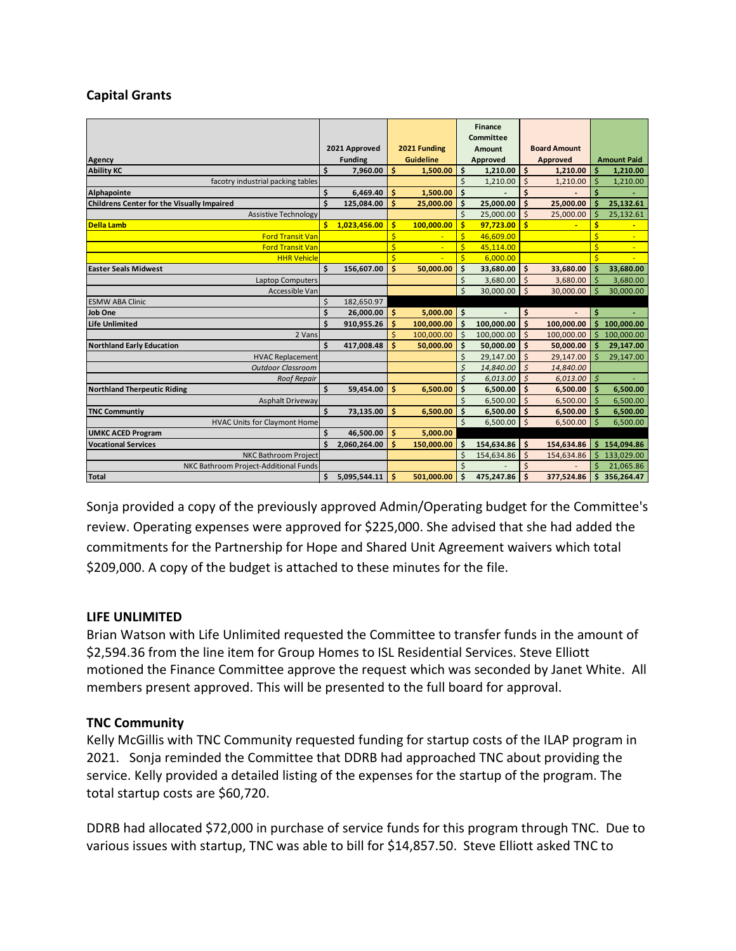## **Capital Grants**

|                                                   |                               |              |                  |            |                     | <b>Finance</b> |                    |            |                    |                |
|---------------------------------------------------|-------------------------------|--------------|------------------|------------|---------------------|----------------|--------------------|------------|--------------------|----------------|
|                                                   |                               |              |                  |            | <b>Committee</b>    |                |                    |            |                    |                |
|                                                   | 2021 Approved<br>2021 Funding |              | Amount           |            | <b>Board Amount</b> |                |                    |            |                    |                |
| Agency                                            | <b>Funding</b>                |              | <b>Guideline</b> |            | Approved            |                | Approved           |            | <b>Amount Paid</b> |                |
| <b>Ability KC</b>                                 | \$                            | 7,960.00     | \$               | 1,500.00   | \$                  | 1,210.00       | \$                 | 1,210.00   | Ś                  | 1,210.00       |
| facotry industrial packing tables                 |                               |              |                  |            | \$                  | 1,210.00       | \$                 | 1,210.00   | Ś                  | 1,210.00       |
| Alphapointe                                       | \$                            | 6,469.40     | \$               | 1.500.00   | \$                  |                | Ś                  |            | Ś                  |                |
| <b>Childrens Center for the Visually Impaired</b> | \$                            | 125,084.00   | Ś                | 25,000.00  | \$                  | 25,000.00      | \$                 | 25,000.00  | K                  | 25,132.61      |
| <b>Assistive Technology</b>                       |                               |              |                  |            | $\ddot{\varsigma}$  | 25,000.00      | $\zeta$            | 25,000.00  | Ś                  | 25,132.61      |
| <b>Della Lamb</b>                                 | \$                            | 1,023,456.00 | Ś.               | 100,000.00 | \$                  | 97,723.00      | Ŝ                  |            | Ś                  | $\blacksquare$ |
| <b>Ford Transit Van</b>                           |                               |              | \$               | Ξ          | $\frac{1}{2}$       | 46,609.00      |                    |            | \$                 | $\blacksquare$ |
| <b>Ford Transit Van</b>                           |                               |              | \$               |            | $\frac{1}{2}$       | 45,114.00      |                    |            | \$                 |                |
| <b>HHR Vehicle</b>                                |                               |              | Ś                |            | $\frac{1}{2}$       | 6,000.00       |                    |            | Ś                  |                |
| <b>Easter Seals Midwest</b>                       | \$                            | 156,607.00   | \$               | 50,000.00  | \$                  | 33,680.00      | \$                 | 33,680.00  | Ś                  | 33,680.00      |
| <b>Laptop Computers</b>                           |                               |              |                  |            | \$                  | 3,680.00       | $\zeta$            | 3,680.00   | Ś                  | 3,680.00       |
| Accessible Van                                    |                               |              |                  |            | $\zeta$             | 30,000.00      | $\mathsf{\dot{S}}$ | 30,000.00  | Ś                  | 30,000.00      |
| <b>ESMW ABA Clinic</b>                            | Ś                             | 182,650.97   |                  |            |                     |                |                    |            |                    |                |
| Job One                                           | Ś                             | 26,000.00    | \$               | 5,000.00   | \$                  |                | \$                 |            | \$                 |                |
| <b>Life Unlimited</b>                             | Ś                             | 910,955.26   | Ś                | 100,000.00 | \$                  | 100,000.00     | Ś                  | 100,000.00 |                    | 100,000.00     |
| 2 Vans                                            |                               |              |                  | 100,000.00 | \$                  | 100,000.00     | $\dot{\mathsf{S}}$ | 100,000.00 | Ś                  | 100,000.00     |
| <b>Northland Early Education</b>                  | Ś                             | 417,008.48   | Ś                | 50,000.00  | \$                  | 50,000.00      | \$                 | 50,000.00  | Ś                  | 29,147.00      |
| <b>HVAC Replacement</b>                           |                               |              |                  |            | \$                  | 29,147.00      | \$                 | 29,147.00  | Ś                  | 29,147.00      |
| <b>Outdoor Classroom</b>                          |                               |              |                  |            | $\mathsf{\hat{S}}$  | 14,840.00      | $\mathsf{\hat{S}}$ | 14,840.00  |                    |                |
| <b>Roof Repair</b>                                |                               |              |                  |            | \$                  | 6,013.00       | $\mathsf{\hat{S}}$ | 6,013.00   | \$                 |                |
| <b>Northland Therpeutic Riding</b>                | \$                            | 59,454.00    | Ś.               | 6,500.00   | \$                  | 6,500.00       | \$                 | 6,500.00   | Ś                  | 6,500.00       |
| <b>Asphalt Driveway</b>                           |                               |              |                  |            | \$                  | 6,500.00       | Ś                  | 6,500.00   | Ś                  | 6,500.00       |
| <b>TNC Communtiv</b>                              | \$                            | 73,135.00    | Ś                | 6,500.00   | \$                  | 6,500.00       | \$                 | 6,500.00   | Ś                  | 6,500.00       |
| <b>HVAC Units for Claymont Home</b>               |                               |              |                  |            | $\zeta$             | 6,500.00       | Ŝ.                 | 6,500.00   | $\dot{\mathsf{S}}$ | 6,500.00       |
| <b>UMKC ACED Program</b>                          | Ś                             | 46,500.00    | \$               | 5,000.00   |                     |                |                    |            |                    |                |
| <b>Vocational Services</b>                        |                               | 2,060,264.00 | Ś                | 150,000.00 | \$                  | 154,634.86     | \$                 | 154,634.86 | \$                 | 154,094.86     |
| <b>NKC Bathroom Project</b>                       |                               |              |                  |            | \$                  | 154,634.86     | $\zeta$            | 154,634.86 | Ś                  | 133,029.00     |
| NKC Bathroom Project-Additional Funds             |                               |              |                  |            | $\mathsf{\hat{S}}$  |                |                    |            | \$                 | 21,065.86      |
| Total                                             | \$                            | 5,095,544.11 | Ś                | 501,000.00 | \$                  | 475,247.86     | Ś                  | 377,524.86 | Ś                  | 356,264.47     |

Sonja provided a copy of the previously approved Admin/Operating budget for the Committee's review. Operating expenses were approved for \$225,000. She advised that she had added the commitments for the Partnership for Hope and Shared Unit Agreement waivers which total \$209,000. A copy of the budget is attached to these minutes for the file.

## **LIFE UNLIMITED**

Brian Watson with Life Unlimited requested the Committee to transfer funds in the amount of \$2,594.36 from the line item for Group Homes to ISL Residential Services. Steve Elliott motioned the Finance Committee approve the request which was seconded by Janet White. All members present approved. This will be presented to the full board for approval.

## **TNC Community**

Kelly McGillis with TNC Community requested funding for startup costs of the ILAP program in 2021. Sonja reminded the Committee that DDRB had approached TNC about providing the service. Kelly provided a detailed listing of the expenses for the startup of the program. The total startup costs are \$60,720.

DDRB had allocated \$72,000 in purchase of service funds for this program through TNC. Due to various issues with startup, TNC was able to bill for \$14,857.50. Steve Elliott asked TNC to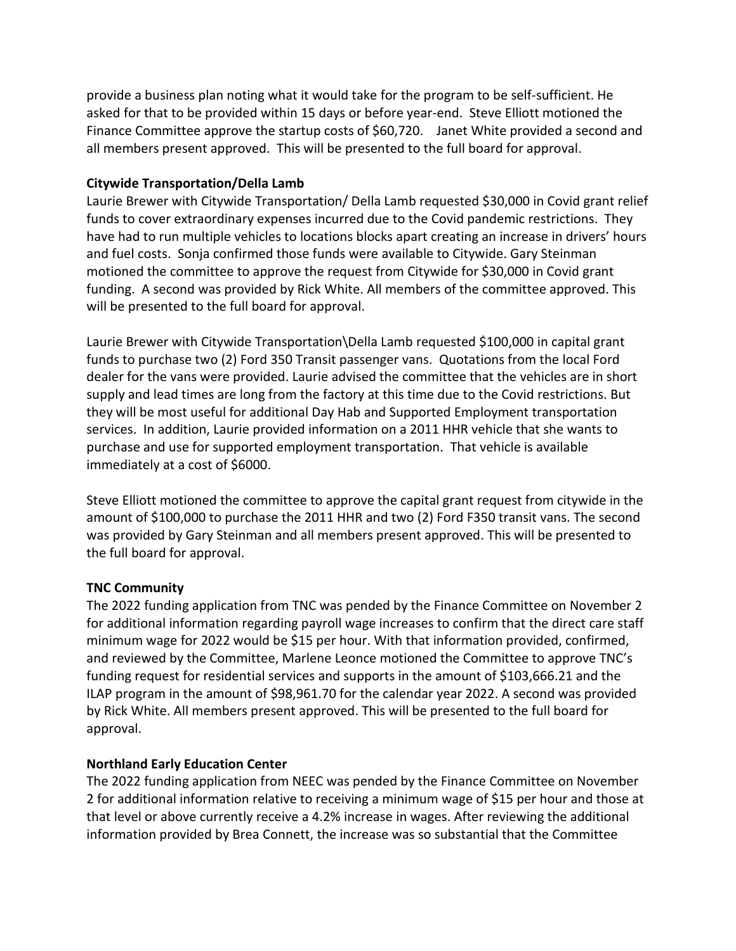provide a business plan noting what it would take for the program to be self-sufficient. He asked for that to be provided within 15 days or before year-end. Steve Elliott motioned the Finance Committee approve the startup costs of \$60,720. Janet White provided a second and all members present approved. This will be presented to the full board for approval.

## **Citywide Transportation/Della Lamb**

Laurie Brewer with Citywide Transportation/ Della Lamb requested \$30,000 in Covid grant relief funds to cover extraordinary expenses incurred due to the Covid pandemic restrictions. They have had to run multiple vehicles to locations blocks apart creating an increase in drivers' hours and fuel costs. Sonja confirmed those funds were available to Citywide. Gary Steinman motioned the committee to approve the request from Citywide for \$30,000 in Covid grant funding. A second was provided by Rick White. All members of the committee approved. This will be presented to the full board for approval.

Laurie Brewer with Citywide Transportation\Della Lamb requested \$100,000 in capital grant funds to purchase two (2) Ford 350 Transit passenger vans. Quotations from the local Ford dealer for the vans were provided. Laurie advised the committee that the vehicles are in short supply and lead times are long from the factory at this time due to the Covid restrictions. But they will be most useful for additional Day Hab and Supported Employment transportation services. In addition, Laurie provided information on a 2011 HHR vehicle that she wants to purchase and use for supported employment transportation. That vehicle is available immediately at a cost of \$6000.

Steve Elliott motioned the committee to approve the capital grant request from citywide in the amount of \$100,000 to purchase the 2011 HHR and two (2) Ford F350 transit vans. The second was provided by Gary Steinman and all members present approved. This will be presented to the full board for approval.

# **TNC Community**

The 2022 funding application from TNC was pended by the Finance Committee on November 2 for additional information regarding payroll wage increases to confirm that the direct care staff minimum wage for 2022 would be \$15 per hour. With that information provided, confirmed, and reviewed by the Committee, Marlene Leonce motioned the Committee to approve TNC's funding request for residential services and supports in the amount of \$103,666.21 and the ILAP program in the amount of \$98,961.70 for the calendar year 2022. A second was provided by Rick White. All members present approved. This will be presented to the full board for approval.

# **Northland Early Education Center**

The 2022 funding application from NEEC was pended by the Finance Committee on November 2 for additional information relative to receiving a minimum wage of \$15 per hour and those at that level or above currently receive a 4.2% increase in wages. After reviewing the additional information provided by Brea Connett, the increase was so substantial that the Committee